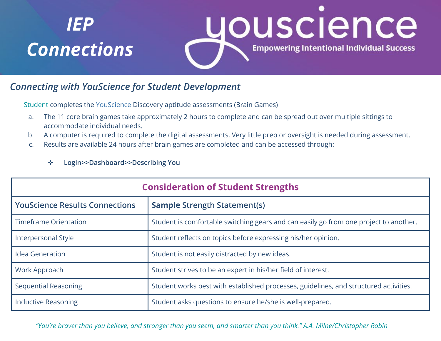# *IEP Connections*



### *Connecting with YouScience for Student Development*

Student completes the YouScience Discovery aptitude assessments (Brain Games)

- a. The 11 core brain games take approximately 2 hours to complete and can be spread out over multiple sittings to accommodate individual needs.
- b. A computer is required to complete the digital assessments. Very little prep or oversight is needed during assessment.
- c. Results are available 24 hours after brain games are completed and can be accessed through:

#### ❖ **Login>>Dashboard>>Describing You**

| <b>Consideration of Student Strengths</b> |                                                                                       |  |
|-------------------------------------------|---------------------------------------------------------------------------------------|--|
| <b>YouScience Results Connections</b>     | <b>Sample Strength Statement(s)</b>                                                   |  |
| <b>Timeframe Orientation</b>              | Student is comfortable switching gears and can easily go from one project to another. |  |
| Interpersonal Style                       | Student reflects on topics before expressing his/her opinion.                         |  |
| Idea Generation                           | Student is not easily distracted by new ideas.                                        |  |
| Work Approach                             | Student strives to be an expert in his/her field of interest.                         |  |
| <b>Sequential Reasoning</b>               | Student works best with established processes, guidelines, and structured activities. |  |
| <b>Inductive Reasoning</b>                | Student asks questions to ensure he/she is well-prepared.                             |  |

*"You're braver than you believe, and stronger than you seem, and smarter than you think." A.A. Milne/Christopher Robin*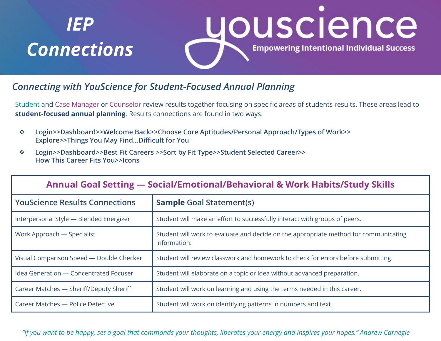# *IEP Connections*



### *Connecting with YouScience for Student-Focused Annual Planning*

Student and Case Manager or Counselor review results together focusing on specific areas of students results. These areas lead to **student-focused annual planning**. Results connections are found in two ways.

- ❖ **Login>>Dashboard>>Welcome Back>>Choose Core Aptitudes/Personal Approach/Types of Work>> Explore>>Things You May Find...Difficult for You**
- ❖ **Login>>Dashboard>>Best Fit Careers >>Sort by Fit Type>>Student Selected Career>> How This Career Fits You>>Icons**

| <b>Annual Goal Setting - Social/Emotional/Behavioral &amp; Work Habits/Study Skills</b> |                                                                                                      |  |
|-----------------------------------------------------------------------------------------|------------------------------------------------------------------------------------------------------|--|
| <b>YouScience Results Connections</b>                                                   | <b>Sample Goal Statement(s)</b>                                                                      |  |
| Interpersonal Style - Blended Energizer                                                 | Student will make an effort to successfully interact with groups of peers.                           |  |
| Work Approach — Specialist                                                              | Student will work to evaluate and decide on the appropriate method for communicating<br>information. |  |
| Visual Comparison Speed - Double Checker                                                | Student will review classwork and homework to check for errors before submitting.                    |  |
| Idea Generation - Concentrated Focuser                                                  | Student will elaborate on a topic or idea without advanced preparation.                              |  |
| Career Matches - Sheriff/Deputy Sheriff                                                 | Student will work on learning and using the terms needed in this career.                             |  |
| Career Matches - Police Detective                                                       | Student will work on identifying patterns in numbers and text.                                       |  |

*"If you want to be happy, set a goal that commands your thoughts, liberates your energy and inspires your hopes." Andrew Carnegie*